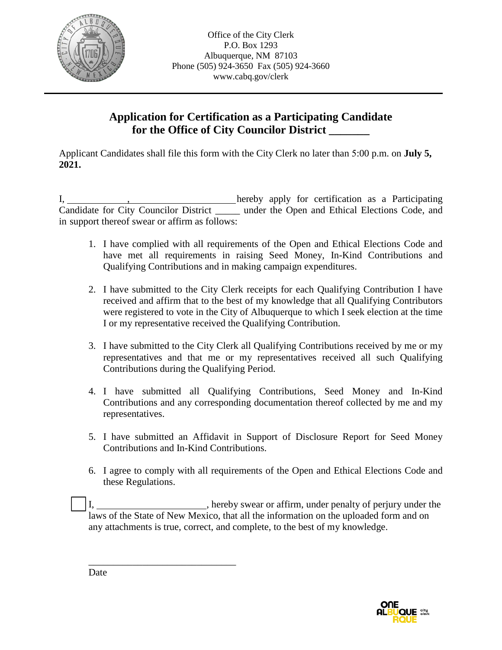

## **Application for Certification as a Participating Candidate for the Office of City Councilor District \_\_\_\_\_\_\_**

Applicant Candidates shall file this form with the City Clerk no later than 5:00 p.m. on **July 5, 2021.**

I, hereby apply for certification as a Participating Candidate for City Councilor District \_\_\_\_\_ under the Open and Ethical Elections Code, and in support thereof swear or affirm as follows:

- 1. I have complied with all requirements of the Open and Ethical Elections Code and have met all requirements in raising Seed Money, In-Kind Contributions and Qualifying Contributions and in making campaign expenditures.
- 2. I have submitted to the City Clerk receipts for each Qualifying Contribution I have received and affirm that to the best of my knowledge that all Qualifying Contributors were registered to vote in the City of Albuquerque to which I seek election at the time I or my representative received the Qualifying Contribution.
- 3. I have submitted to the City Clerk all Qualifying Contributions received by me or my representatives and that me or my representatives received all such Qualifying Contributions during the Qualifying Period.
- 4. I have submitted all Qualifying Contributions, Seed Money and In-Kind Contributions and any corresponding documentation thereof collected by me and my representatives.
- 5. I have submitted an Affidavit in Support of Disclosure Report for Seed Money Contributions and In-Kind Contributions.
- 6. I agree to comply with all requirements of the Open and Ethical Elections Code and these Regulations.

I, \_\_\_\_\_\_\_\_\_\_\_\_\_\_\_\_\_\_\_\_\_, hereby swear or affirm, under penalty of perjury under the laws of the State of New Mexico, that all the information on the uploaded form and on any attachments is true, correct, and complete, to the best of my knowledge.



Date

\_\_\_\_\_\_\_\_\_\_\_\_\_\_\_\_\_\_\_\_\_\_\_\_\_\_\_\_\_\_